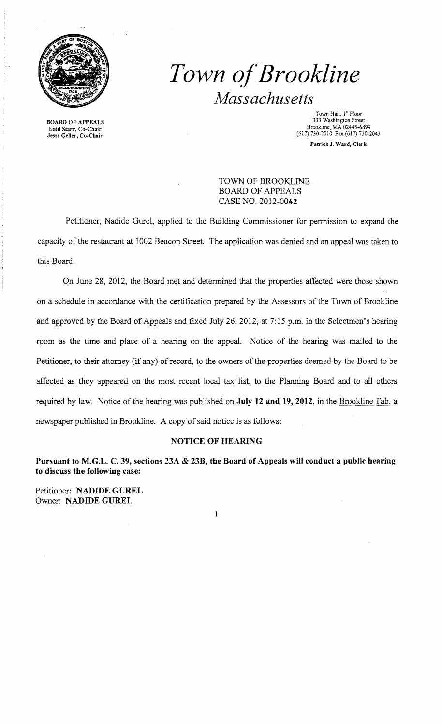

BOARD OF APPEALS Enid Starr, Co-Chair Jesse Geller, Co-Chair

# *Town ofBrookline Massachusetts*

Town Hall, 1st Floor 333 Washington Street Brookline, MA 02445-6899 (617) 730-2010 Fax (617) 730-2043 Patrick J. Ward, Clerk

TOWN OF BROOKLINE BOARD OF APPEALS CASE NO. 20l2-00A2

Petitioner, Nadide Gurel, applied to the Building Commissioner for permission to expand the capacity of the restaurant at 1002 Beacon Street. The application was denied and an appeal was taken to this Board.

On June 28, 2012, the Board met and determined that the properties affected were those shown on a schedule in accordance with the certification prepared by the Assessors of the Town of Brookline and approved by the Board of Appeals and fixed July 26, 2012, at 7:15 p.m. in the Selectmen's hearing room as the time and place of a hearing on the appeal. Notice of the hearing was mailed to the Petitioner, to their attorney (if any) of record, to the owners of the properties deemed by the Board to be affected as they appeared on the most recent local tax list, to the Planning Board and to all others required by law. Notice of the hearing was published on **July 12 and 19,2012,** in the Brookline Tab, a newspaper published in Brookline. A copy of said notice is as follows:

### **NOTICE OF HEARING**

**Pursuant to M.G.L. C. 39, sections 23A & 23B, the Board of Appeals will conduct a public hearing to discuss the following case:** 

 $\mathbf{1}$ 

Petitioner: **NADIDE GUREL**  Owner: **NADIDE GUREL**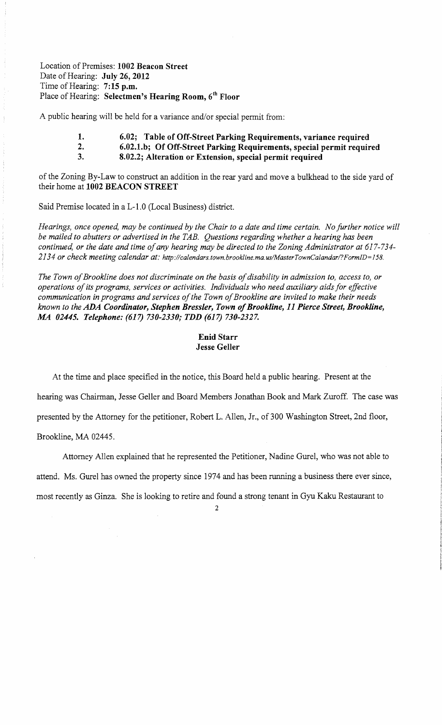Location of Premises: 1002 Beacon Street Date of Hearing: July 26, 2012 Time of Hearing: 7:15 p.m. Place of Hearing: Selectmen's Hearing Room, 6<sup>th</sup> Floor

A public hearing will be held for a variance and/or special permit from:

- 1. 6.02; Table of Off-Street Parking Requirements, variance required
- 2. 6.02.1.b; Of Off-Street Parking Requirements, special permit required
- 3. 8.02.2; Alteration or Extension, special permit required

of the Zoning By-Law to construct an addition in the rear yard and move a bulkhead to the side yard of their home at 1002 BEACON STREET

Said Premise located in a L-1. 0 (Local Business) district.

*Hearings, once opened, may be continued by the Chair to a date and time certain. No further notice will be mailed to abutters or advertised in the TAB. Questions regarding whether a hearing has been continued, or the date and time ofany hearing may be directed to the Zoning Administrator at 617-734 2134 or check meeting calendar at: http://calendars.town.brookline.ma.usIMasterTownCalandarl?Form/D=158.* 

The Town of Brookline does not discriminate on the basis of disability in admission to, access to, or operations of its programs, services or activities. Individuals who need auxiliary aids for effective communication in programs and services of the Town of Brookline are invited to make their needs *known to the ADA Coordinator, Stephen Bressler, Town ofBrookline,* 11 *Pierce Street, Brookline, MA 02445. Telephone:* (617) *730-2330; TDD* (617) *730-2327.* 

#### Enid Starr Jesse Geller

At the time and place specified in the notice, this Board held a public hearing. Present at the

hearing was Chairman, Jesse Geller and Board Members Jonathan Book and Mark Zuroff. The case was

presented by the Attorney for the petitioner, Robert L. Allen, Jr., of 300 Washington Street, 2nd floor,

Brookline, MA 02445.

Attorney Allen explained that he represented the Petitioner, Nadine Gurel, who was not able to

attend. Ms. Gurel has owned the property since 1974 and has been running a business there ever since,

most recently as Ginza. She is looking to retire and found a strong tenant in Gyu Kaku Restaurant to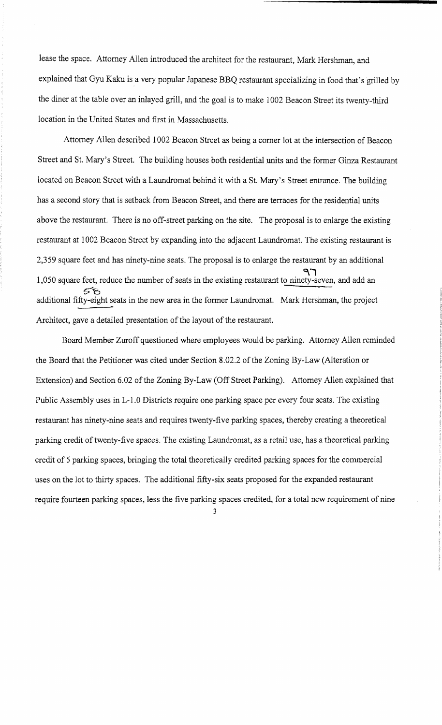lease the space. Attorney Allen introduced the architect for the restaurant, Mark Hershman, and explained that Gyu Kaku is a very popular Japanese BBQ restaurant specializing in food that's grilled by the diner at the table over an inlayed grill, and the goal is to make 1002 Beacon Street its twenty-third location in the United States and first in Massachusetts.

Attorney Allen described 1002 Beacon Street as being a comer lot at the intersection of Beacon Street and St. Mary's Street. The building houses both residential units and the former Ginza Restaurant located on Beacon Street with a Laundromat behind it with a St. Mary's Street entrance. The building has a second story that is setback from Beacon Street, and there are terraces for the residential units above the restaurant. There is no off-street parking on the site. The proposal is to enlarge the existing restaurant at 1002 Beacon Street by expanding into the adjacent Laundromat. The existing restaurant is 2,359 square feet and has ninety-nine seats. The proposal is to enlarge the restaurant by an additional ጓገ 1,050 square feet, reduce the number of seats in the existing restaurant to ninety-seven, and add an 58 additional fifty-eight seats in the new area in the former Laundromat. Mark Hershman, the project Architect, gave a detailed presentation of the layout of the restaurant.

Board Member Zuroff questioned where employees would be parking. Attorney Allen reminded the Board that the Petitioner was cited under Section 8.02.2 of the Zoning By-Law (Alteration or Extension) and Section 6.02 of the Zoning By-Law (Off Street Parking). Attorney Allen explained that Public Assembly uses in L-1.0 Districts require one parking space per every four seats. The existing restaurant has ninety-nine seats and requires twenty-five parking spaces, thereby creating a theoretical parking credit of twenty-five spaces. The existing Laundromat, as a retail use, has a theoretical parking credit of 5 parking spaces, bringing the total theoretically credited parking spaces for the commercial uses on the lot to thirty spaces. The additional fifty-six seats proposed for the expanded restaurant require fourteen parking spaces, less the five parking spaces credited, for a total new requirement of nine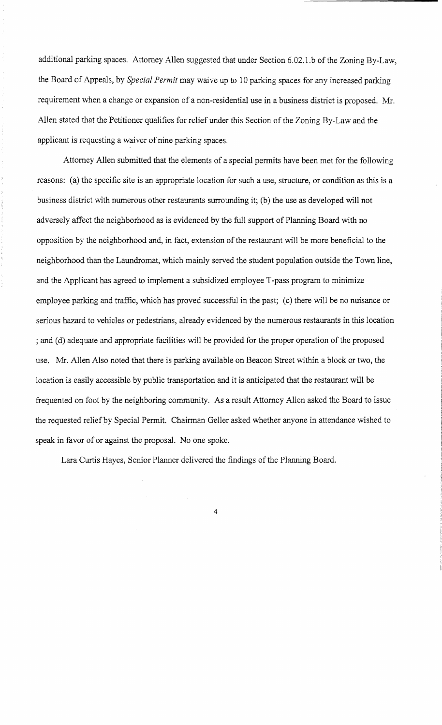additional parking spaces. Attorney Allen suggested that under Section 6.02.1.b of the Zoning By-Law, the Board of Appeals, by *Special Permit* may waive up to 10 parking spaces for any increased parking requirement when a change or expansion of a non-residential use in a business district is proposed. Mr. Allen stated that the Petitioner qualifies for relief under this Section of the Zoning By-Law and the applicant is requesting a waiver of nine parking spaces.

Attorney Allen submitted that the elements of a special permits have been met for the following reasons: (a) the specific site is an appropriate location for such a use, structure, or condition as this is a business district with numerous other restaurants surrounding it; (b) the use as developed will not adversely affect the neighborhood as is evidenced by the full support of Planning Board with no opposition by the neighborhood and, in fact, extension of the restaurant will be more beneficial to the neighborhood than the Laundromat, which mainly served the student population outside the Town line, and the Applicant has agreed to implement a subsidized employee T -pass program to minimize employee parking and traffic, which has proved successful in the past; (c) there will be no nuisance or serious hazard to vehicles or pedestrians, already evidenced by the numerous restaurants in this location ; and (d) adequate and appropriate facilities will be provided for the proper operation of the proposed use. Mr. Allen Also noted that there is parking available on Beacon Street within a block or two, the location is easily accessible by public transportation and it is anticipated that the restaurant will be frequented on foot by the neighboring community. As a result Attorney Allen asked the Board to issue the requested relief by Special Permit. Chairman Geller asked whether anyone in attendance wished to speak in favor of or against the proposal. No one spoke.

Lara Curtis Hayes, Senior Planner delivered the findings of the Planning Board.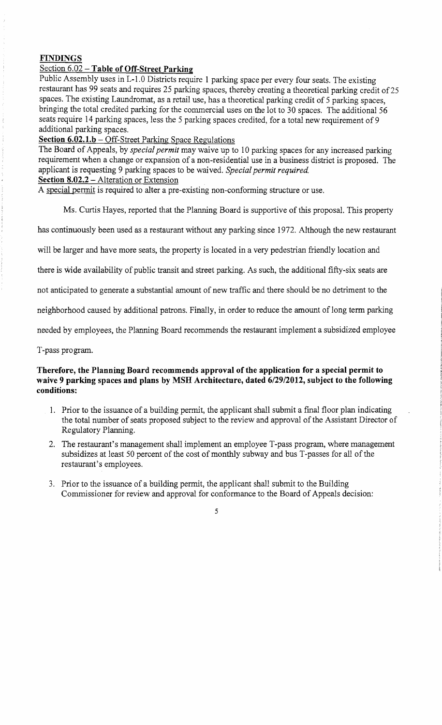## **FINDINGS**

## Section 6.02 - Table of Off-Street Parking

Public Assembly uses in L-1.0 Districts require 1 parking space per every four seats. The existing restaurant has 99 seats and requires 25 parking spaces, thereby creating a theoretical parking credit of 25 spaces. The existing Laundromat, as a retail use, has a theoretical parking credit of 5 parking spaces, bringing the total credited parking for the commercial uses on the lot to 30 spaces. The additional 56 seats require 14 parking spaces, less the 5 parking spaces credited, for a total new requirement of 9 additional parking spaces.

## **Section 6.02.1.b** - Off-Street Parking Space Regulations

The Board of Appeals, by *special permit* may waive up to 10 parking spaces for any increased parking requirement when a change or expansion of a non-residential use in a business district is proposed. The applicant is requesting 9 parking spaces to be waived. *Special permit required.*  **Section 8.02.2** - Alteration or Extension

A special permit is required to alter a pre-existing non-conforming structure or use.

Ms. Curtis Hayes, reported that the Planning Board is supportive of this proposal. This property

has continuously been used as a restaurant without any parking since 1972. Although the new restaurant

will be larger and have more seats, the property is located in a very pedestrian friendly location and

there is wide availability of public transit and street parking. As such, the additional fifty-six seats are

not anticipated to generate a substantial amount of new traffic and there should be no detriment to the

neighborhood caused by additional patrons. Finally, in order to reduce the amount of long term parking

needed by employees, the Planning Board recommends the restaurant implement a subsidized employee

T-pass program.

#### **Therefore, the Planning Board recommends approval** of the **application for a special permit to waive 9 parking spaces and plans by MSH Architecture, dated 6/29/2012, subject to the following conditions:**

- 1. Prior to the issuance of a building permit, the applicant shall submit a final floor plan indicating the total number of seats proposed subject to the review and approval of the Assistant Director of Regulatory Planning.
- 2. The restaurant's management shall implement an employee T-pass program, where management subsidizes at least 50 percent of the cost of monthly subway and bus T-passes for all of the restaurant's employees.
- 3. Prior to the issuance of a building permit, the applicant shall submit to the Building Commissioner for review and approval for conformance to the Board of Appeals decision: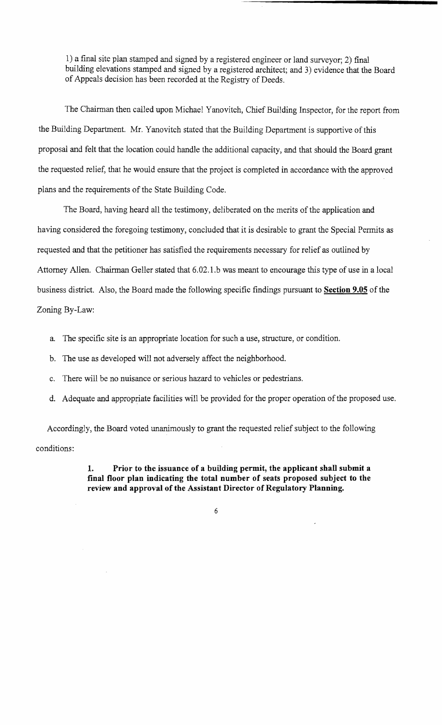1) a final site plan stamped and signed by a registered engineer or land surveyor; 2) final building elevations stamped and signed by a registered architect; and 3) evidence that the Board of Appeals decision has been recorded at the Registry of Deeds.

The Chairman then called upon Michael Yanovitch, Chief Building Inspector, for the report from the Building Department. Mr. Yanovitch stated that the Building Department is supportive of this proposal and felt that the location could handle the additional capacity, and that should the Board grant the requested relief, that he would ensure that the project is completed in accordance with the approved plans and the requirements of the State Building Code.

The Board, having heard all the testimony, deliberated on the merits of the application and having considered the foregoing testimony, concluded that it is desirable to grant the Special Permits as requested and that the petitioner has satisfied the requirements necessary for relief as outlined by Attorney Allen. Chairman Geller stated that 6.02.1.b was meant to encourage this type of use in a local business district. Also, the Board made the following specific findings pursuant to **Section 9.05** of the Zoning By-Law:

- a. The specific site is an appropriate location for such a use, structure, or condition.
- b. The use as developed will not adversely affect the neighborhood.
- c. There will be no nuisance or serious hazard to vehicles or pedestrians.
- d. Adequate and appropriate facilities will be provided for the proper operation of the proposed use.

Accordingly, the Board voted unanimously to grant the requested relief subject to the following conditions:

> **1. Prior to the issuance of a building permit, the applicant shall submit a final floor plan indicating the total number of seats proposed subject to the review and approval of the Assistant Director of Regulatory Planning.**